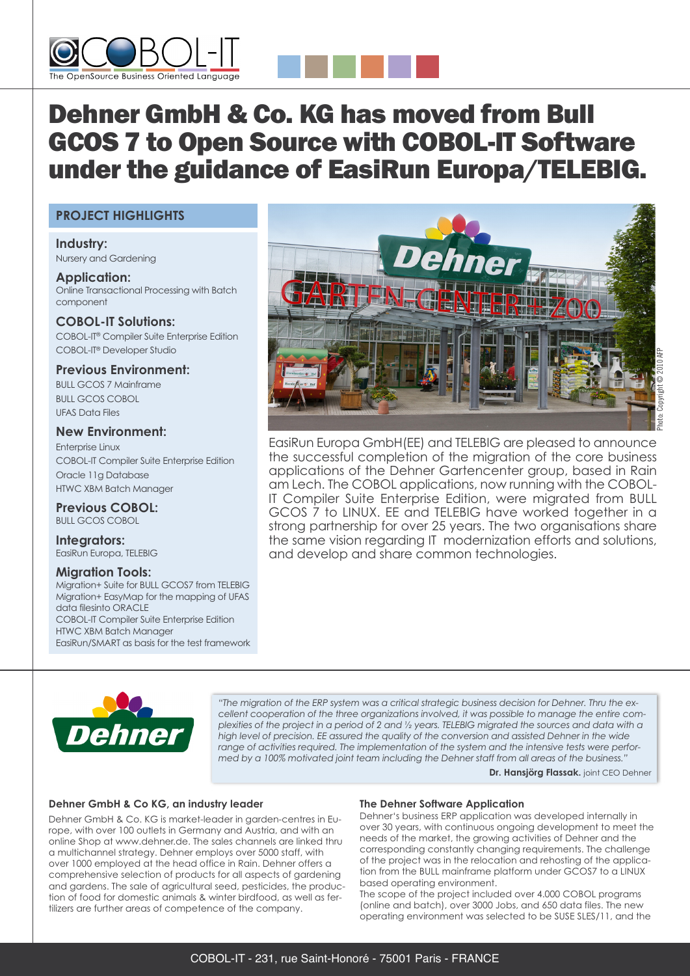



# Dehner GmbH & Co. KG has moved from Bull GCOS 7 to Open Source with COBOL-IT Software under the guidance of EasiRun Europa/TELEBIG.

# **PROJECT HIGHLIGHTS**

**Industry:** Nursery and Gardening

**Application:** Online Transactional Processing with Batch component

**COBOL-IT Solutions:** COBOL-IT® Compiler Suite Enterprise Edition COBOL-IT® Developer Studio

**Previous Environment:** BULL GCOS 7 Mainframe BULL GCOS COBOL UFAS Data Files

# **New Environment:**

Enterprise Linux COBOL-IT Compiler Suite Enterprise Edition Oracle 11g Database HTWC XBM Batch Manager

**Previous COBOL:** BULL GCOS COBOL

**Integrators:** EasiRun Europa, TELEBIG

## **Migration Tools:**

Migration+ Suite for BULL GCOS7 from TELEBIG Migration+ EasyMap for the mapping of UFAS data filesinto ORACLE COBOL-IT Compiler Suite Enterprise Edition HTWC XBM Batch Manager EasiRun/SMART as basis for the test framework



EasiRun Europa GmbH(EE) and TELEBIG are pleased to announce the successful completion of the migration of the core business applications of the Dehner Gartencenter group, based in Rain am Lech. The COBOL applications, now running with the COBOL-IT Compiler Suite Enterprise Edition, were migrated from BULL GCOS 7 to LINUX. EE and TELEBIG have worked together in a strong partnership for over 25 years. The two organisations share the same vision regarding IT modernization efforts and solutions, and develop and share common technologies.



*"The migration of the ERP system was a critical strategic business decision for Dehner. Thru the excellent cooperation of the three organizations involved, it was possible to manage the entire com*plexities of the project in a period of 2 and 1/2 years. TELEBIG migrated the sources and data with a *high level of precision. EE assured the quality of the conversion and assisted Dehner in the wide range of activities required. The implementation of the system and the intensive tests were performed by a 100% motivated joint team including the Dehner staff from all areas of the business."*

**Dr. Hansjörg Flassak.** joint CEO Dehner

## **Dehner GmbH & Co KG, an industry leader**

Dehner GmbH & Co. KG is market-leader in garden-centres in Europe, with over 100 outlets in Germany and Austria, and with an online Shop at www.dehner.de. The sales channels are linked thru a multichannel strategy. Dehner employs over 5000 staff, with over 1000 employed at the head office in Rain. Dehner offers a comprehensive selection of products for all aspects of gardening and gardens. The sale of agricultural seed, pesticides, the production of food for domestic animals & winter birdfood, as well as fertilizers are further areas of competence of the company.

## **The Dehner Software Application**

Dehner's business ERP application was developed internally in over 30 years, with continuous ongoing development to meet the needs of the market, the growing activities of Dehner and the corresponding constantly changing requirements. The challenge of the project was in the relocation and rehosting of the application from the BULL mainframe platform under GCOS7 to a LINUX based operating environment.

The scope of the project included over 4.000 COBOL programs (online and batch), over 3000 Jobs, and 650 data files. The new operating environment was selected to be SUSE SLES/11, and the